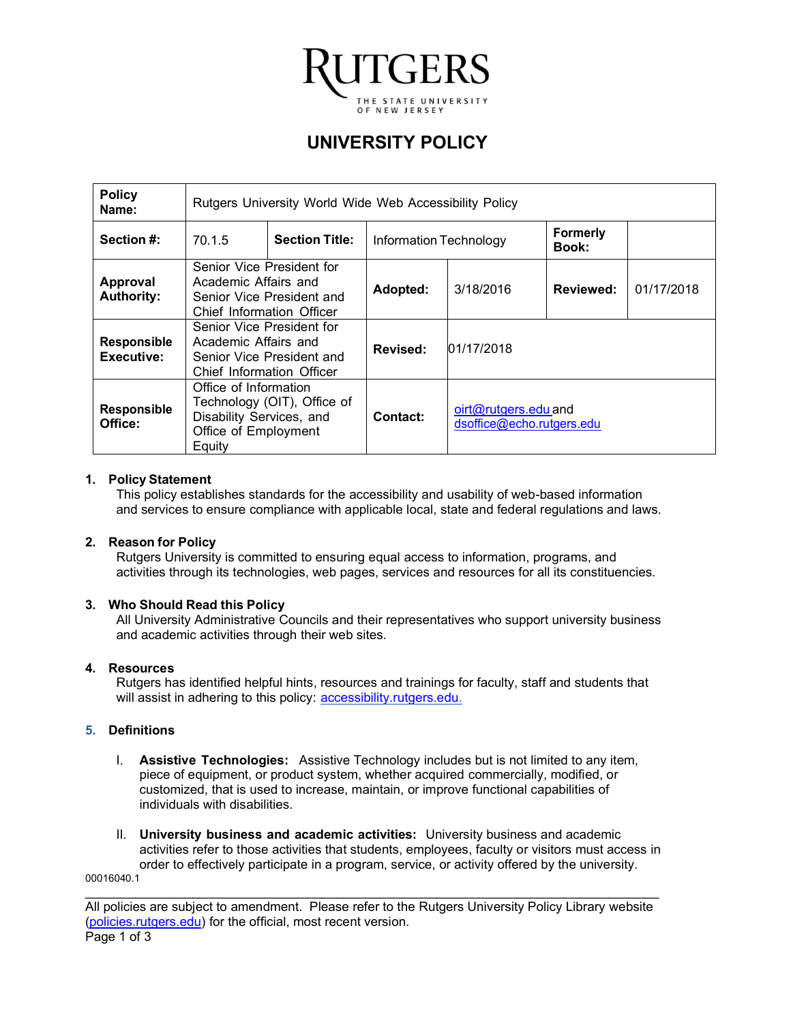

# **UNIVERSITY POLICY**

| <b>Policy</b><br>Name:           | Rutgers University World Wide Web Accessibility Policy                                                             |  |                        |                                                    |                                 |            |
|----------------------------------|--------------------------------------------------------------------------------------------------------------------|--|------------------------|----------------------------------------------------|---------------------------------|------------|
| Section #:                       | <b>Section Title:</b><br>70.1.5                                                                                    |  | Information Technology |                                                    | <b>Formerly</b><br><b>Book:</b> |            |
| Approval<br><b>Authority:</b>    | Senior Vice President for<br>Academic Affairs and<br>Senior Vice President and<br>Chief Information Officer        |  | Adopted:               | 3/18/2016                                          | Reviewed:                       | 01/17/2018 |
| <b>Responsible</b><br>Executive: | Senior Vice President for<br>Academic Affairs and<br>Senior Vice President and<br>Chief Information Officer        |  | Revised:               | 01/17/2018                                         |                                 |            |
| <b>Responsible</b><br>Office:    | Office of Information<br>Technology (OIT), Office of<br>Disability Services, and<br>Office of Employment<br>Equity |  | Contact:               | $oit@rutgers.edu$ and<br>dsoffice@echo.rutgers.edu |                                 |            |

## **1. Policy Statement**

This policy establishes standards for the accessibility and usability of web-based information and services to ensure compliance with applicable local, state and federal regulations and laws.

## **2. Reason for Policy**

Rutgers University is committed to ensuring equal access to information, programs, and activities through its technologies, web pages, services and resources for all its constituencies.

#### **3. Who Should Read this Policy**

All University Administrative Councils and their representatives who support university business and academic activities through their web sites.

#### **4. Resources**

Rutgers has identified helpful hints, resources and trainings for faculty, staff and students that will assist in adhering to this policy: [accessibility.rutgers.edu](http://accessibility.rutgers.edu).

#### **5. Definitions**

- I. **Assistive Technologies:** Assistive Technology includes but is not limited to any item, piece of equipment, or product system, whether acquired commercially, modified, or customized, that is used to increase, maintain, or improve functional capabilities of individuals with disabilities.
- II. **University business and academic activities:** University business and academic activities refer to those activities that students, employees, faculty or visitors must access in order to effectively participate in a program, service, or activity offered by the university. 00016040.1

\_\_\_\_\_\_\_\_\_\_\_\_\_\_\_\_\_\_\_\_\_\_\_\_\_\_\_\_\_\_\_\_\_\_\_\_\_\_\_\_\_\_\_\_\_\_\_\_\_\_\_\_\_\_\_\_\_\_\_\_\_\_\_\_\_\_\_\_\_\_\_\_\_\_\_\_\_\_\_\_ All policies are subject to amendment. Please refer to the Rutgers University Policy Library website [\(policies.rutgers.edu\)](http://policies.rutgers.edu) for the official, most recent version. Page 1 of 3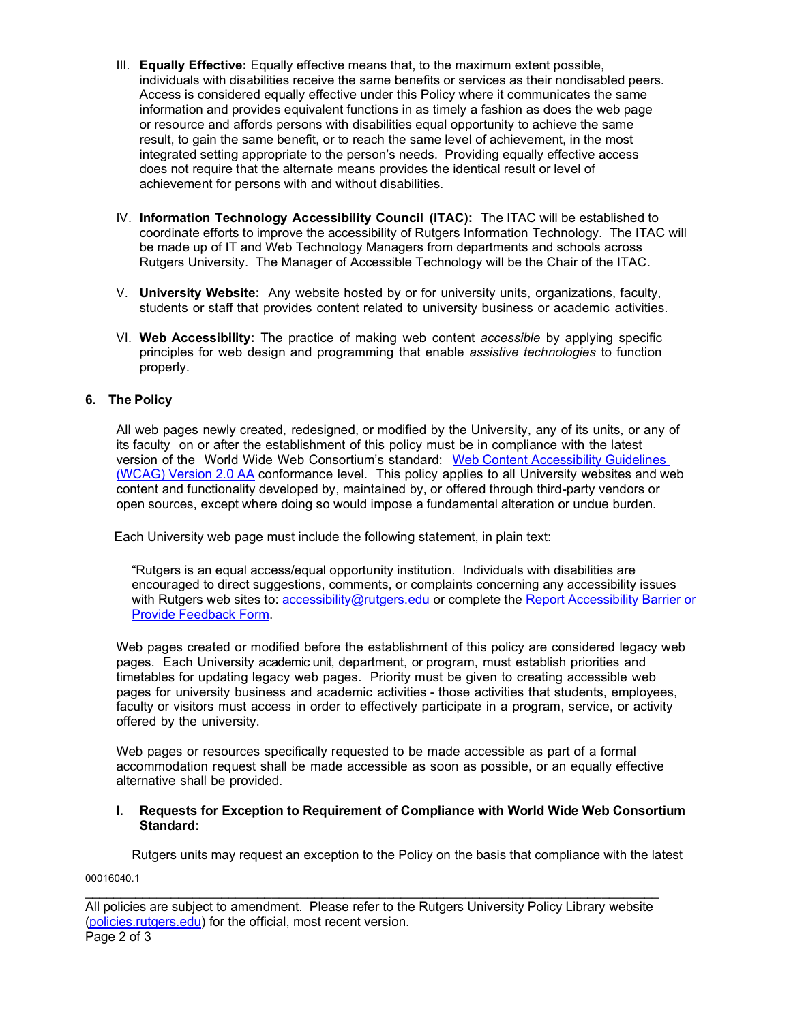- III. **Equally Effective:** Equally effective means that, to the maximum extent possible, individuals with disabilities receive the same benefits or services as their nondisabled peers. Access is considered equally effective under this Policy where it communicates the same information and provides equivalent functions in as timely a fashion as does the web page or resource and affords persons with disabilities equal opportunity to achieve the same result, to gain the same benefit, or to reach the same level of achievement, in the most integrated setting appropriate to the person's needs. Providing equally effective access does not require that the alternate means provides the identical result or level of achievement for persons with and without disabilities.
- IV. **Information Technology Accessibility Council (ITAC):** The ITAC will be established to coordinate efforts to improve the accessibility of Rutgers Information Technology. The ITAC will be made up of IT and Web Technology Managers from departments and schools across Rutgers University. The Manager of Accessible Technology will be the Chair of the ITAC.
- V. **University Website:** Any website hosted by or for university units, organizations, faculty, students or staff that provides content related to university business or academic activities.
- VI. **Web Accessibility:** The practice of making web content *accessible* by applying specific principles for web design and programming that enable *assistive technologies* to function properly.

## **6. The Policy**

 content and functionality developed by, maintained by, or offered through third-party vendors or open sources, except where doing so would impose a fundamental alteration or undue burden. All web pages newly created, redesigned, or modified by the University, any of its units, or any of its faculty on or after the establishment of this policy must be in compliance with the latest version of the World Wide Web Consortium's standard: Web Content Accessibility Guidelines (WCAG) Version 2.0 AA [conformance level. This policy applies to all University websites and we](https://www.w3.org/TR/WCAG20/)b

Each University web page must include the following statement, in plain text:

 "Rutgers is an equal access/equal opportunity institution. Individuals with disabilities are encouraged to direct suggestions, comments, or complaints concerning any accessibility issues with Rutgers web sites to: [accessibility@rutgers.edu](mailto:accessibility@rutgers.edu) or complete the Report Accessibility Barrier or [Provide Feedback Form](https://go.rutgers.edu/barrier).

Web pages created or modified before the establishment of this policy are considered legacy web pages. Each University academic unit, department, or program, must establish priorities and timetables for updating legacy web pages. Priority must be given to creating accessible web pages for university business and academic activities - those activities that students, employees, faculty or visitors must access in order to effectively participate in a program, service, or activity offered by the university.

Web pages or resources specifically requested to be made accessible as part of a formal accommodation request shall be made accessible as soon as possible, or an equally effective alternative shall be provided.

#### **I. Requests for Exception to Requirement of Compliance with World Wide Web Consortium Standard:**

Rutgers units may request an exception to the Policy on the basis that compliance with the latest

00016040.1

 All policies are subject to amendment. Please refer to the Rutgers University Policy Library website \_\_\_\_\_\_\_\_\_\_\_\_\_\_\_\_\_\_\_\_\_\_\_\_\_\_\_\_\_\_\_\_\_\_\_\_\_\_\_\_\_\_\_\_\_\_\_\_\_\_\_\_\_\_\_\_\_\_\_\_\_\_\_\_\_\_\_\_\_\_\_\_\_\_\_\_\_\_\_\_ (policies.rutgers.edu) for the official, most recent version. Page 2 of 3